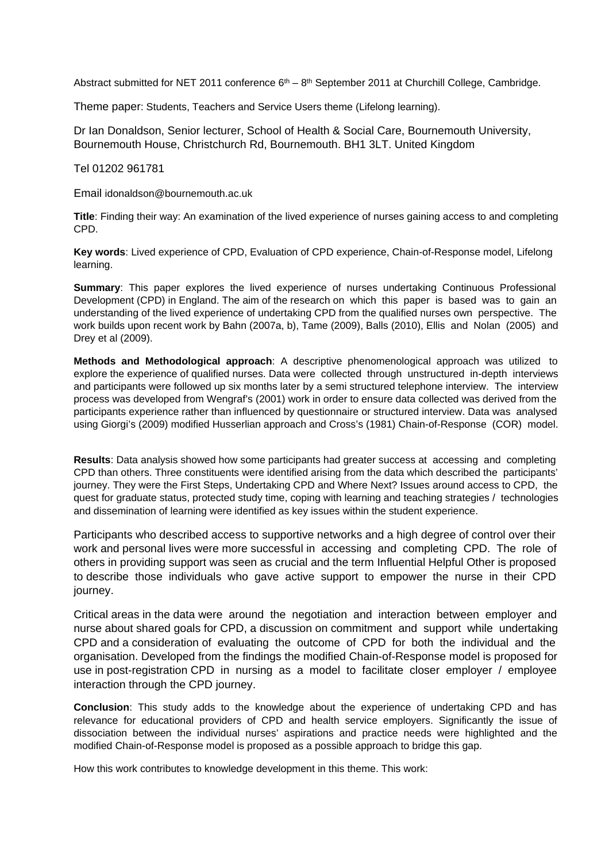Abstract submitted for NET 2011 conference  $6<sup>th</sup> - 8<sup>th</sup>$  September 2011 at Churchill College, Cambridge.

Theme paper: Students, Teachers and Service Users theme (Lifelong learning).

Dr Ian Donaldson, Senior lecturer, School of Health & Social Care, Bournemouth University, Bournemouth House, Christchurch Rd, Bournemouth. BH1 3LT. United Kingdom

Tel 01202 961781

Email idonaldson@bournemouth.ac.uk

**Title**: Finding their way: An examination of the lived experience of nurses gaining access to and completing CPD.

**Key words**: Lived experience of CPD, Evaluation of CPD experience, Chain-of-Response model, Lifelong learning.

**Summary**: This paper explores the lived experience of nurses undertaking Continuous Professional Development (CPD) in England. The aim of the research on which this paper is based was to gain an understanding of the lived experience of undertaking CPD from the qualified nurses own perspective. The work builds upon recent work by Bahn (2007a, b), Tame (2009), Balls (2010), Ellis and Nolan (2005) and Drey et al (2009).

**Methods and Methodological approach**: A descriptive phenomenological approach was utilized to explore the experience of qualified nurses. Data were collected through unstructured in-depth interviews and participants were followed up six months later by a semi structured telephone interview. The interview process was developed from Wengraf's (2001) work in order to ensure data collected was derived from the participants experience rather than influenced by questionnaire or structured interview. Data was analysed using Giorgi's (2009) modified Husserlian approach and Cross's (1981) Chain-of-Response (COR) model.

**Results**: Data analysis showed how some participants had greater success at accessing and completing CPD than others. Three constituents were identified arising from the data which described the participants' journey. They were the First Steps, Undertaking CPD and Where Next? Issues around access to CPD, the quest for graduate status, protected study time, coping with learning and teaching strategies / technologies and dissemination of learning were identified as key issues within the student experience.

Participants who described access to supportive networks and a high degree of control over their work and personal lives were more successful in accessing and completing CPD. The role of others in providing support was seen as crucial and the term Influential Helpful Other is proposed to describe those individuals who gave active support to empower the nurse in their CPD journey.

Critical areas in the data were around the negotiation and interaction between employer and nurse about shared goals for CPD, a discussion on commitment and support while undertaking CPD and a consideration of evaluating the outcome of CPD for both the individual and the organisation. Developed from the findings the modified Chain-of-Response model is proposed for use in post-registration CPD in nursing as a model to facilitate closer employer / employee interaction through the CPD journey.

**Conclusion**: This study adds to the knowledge about the experience of undertaking CPD and has relevance for educational providers of CPD and health service employers. Significantly the issue of dissociation between the individual nurses' aspirations and practice needs were highlighted and the modified Chain-of-Response model is proposed as a possible approach to bridge this gap.

How this work contributes to knowledge development in this theme. This work: